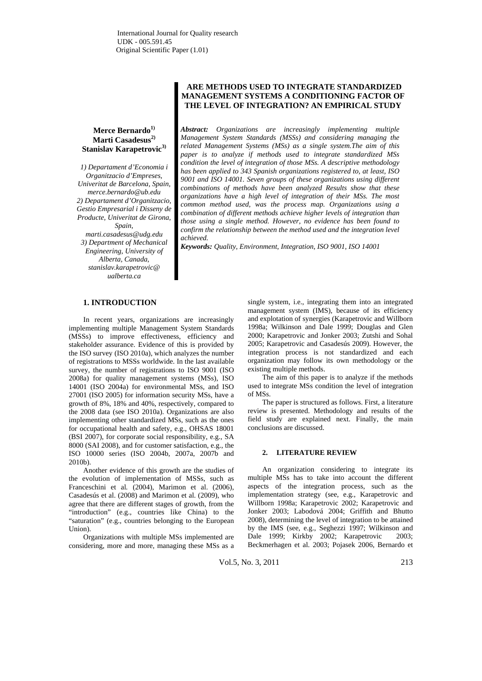# Merce Bernardo<sup>1)</sup> **Marti Casadesus2) Stanislav Karapetrovic3)**

*1) Departament d'Economia i Organitzacio d'Empreses, Univeritat de Barcelona, Spain, merce.bernardo@ub.edu 2) Departament d'Organitzacio, Gestio Empresarial i Disseny de Producte, Univeritat de Girona, Spain, marti.casadesus@udg.edu 3) Department of Mechanical Engineering, University of Alberta, Canada, stanislav.karapetrovic@ ualberta.ca*

# **ARE METHODS USED TO INTEGRATE STANDARDIZED MANAGEMENT SYSTEMS A CONDITIONING FACTOR OF THE LEVEL OF INTEGRATION? AN EMPIRICAL STUDY**

*Abstract: Organizations are increasingly implementing multiple Management System Standards (MSSs) and considering managing the related Management Systems (MSs) as a single system.The aim of this paper is to analyze if methods used to integrate standardized MSs condition the level of integration of those MSs. A descriptive methodology has been applied to 343 Spanish organizations registered to, at least, ISO 9001 and ISO 14001. Seven groups of these organizations using different combinations of methods have been analyzed Results show that these organizations have a high level of integration of their MSs. The most common method used, was the process map. Organizations using a combination of different methods achieve higher levels of integration than those using a single method. However, no evidence has been found to confirm the relationship between the method used and the integration level achieved.* 

*Keywords: Quality, Environment, Integration, ISO 9001, ISO 14001*

# **1. INTRODUCTION**

In recent years, organizations are increasingly implementing multiple Management System Standards (MSSs) to improve effectiveness, efficiency and stakeholder assurance. Evidence of this is provided by the ISO survey (ISO 2010a), which analyzes the number of registrations to MSSs worldwide. In the last available survey, the number of registrations to ISO 9001 (ISO 2008a) for quality management systems (MSs), ISO 14001 (ISO 2004a) for environmental MSs, and ISO 27001 (ISO 2005) for information security MSs, have a growth of 8%, 18% and 40%, respectively, compared to the 2008 data (see ISO 2010a). Organizations are also implementing other standardized MSs, such as the ones for occupational health and safety, e.g., OHSAS 18001 (BSI 2007), for corporate social responsibility, e.g., SA 8000 (SAI 2008), and for customer satisfaction, e.g., the ISO 10000 series (ISO 2004b, 2007a, 2007b and 2010b).

Another evidence of this growth are the studies of the evolution of implementation of MSSs, such as Franceschini et al*.* (2004), Marimon et al. (2006), Casadesús et al. (2008) and Marimon et al. (2009), who agree that there are different stages of growth, from the "introduction" (e.g., countries like China) to the "saturation" (e.g., countries belonging to the European Union).

Organizations with multiple MSs implemented are considering, more and more, managing these MSs as a single system, i.e., integrating them into an integrated management system (IMS), because of its efficiency and explotation of synergies (Karapetrovic and Willborn 1998a; Wilkinson and Dale 1999; Douglas and Glen 2000; Karapetrovic and Jonker 2003; Zutshi and Sohal 2005; Karapetrovic and Casadesús 2009). However, the integration process is not standardized and each organization may follow its own methodology or the existing multiple methods.

The aim of this paper is to analyze if the methods used to integrate MSs condition the level of integration of MSs.

The paper is structured as follows. First, a literature review is presented. Methodology and results of the field study are explained next. Finally, the main conclusions are discussed.

### **2. LITERATURE REVIEW**

An organization considering to integrate its multiple MSs has to take into account the different aspects of the integration process, such as the implementation strategy (see, e.g., Karapetrovic and Willborn 1998a; Karapetrovic 2002; Karapetrovic and Jonker 2003; Labodová 2004; Griffith and Bhutto 2008), determining the level of integration to be attained by the IMS (see, e.g., Seghezzi 1997; Wilkinson and Dale 1999; Kirkby 2002; Karapetrovic 2003; Beckmerhagen et al. 2003; Pojasek 2006, Bernardo et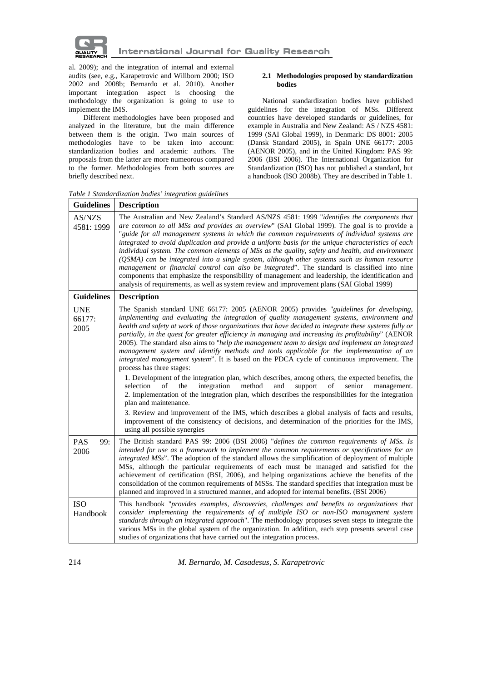

al*.* 2009); and the integration of internal and external audits (see, e.g., Karapetrovic and Willborn 2000; ISO 2002 and 2008b; Bernardo et al. 2010). Another important integration aspect is choosing the methodology the organization is going to use to implement the IMS.

Different methodologies have been proposed and analyzed in the literature, but the main difference between them is the origin. Two main sources of methodologies have to be taken into account: standardization bodies and academic authors. The proposals from the latter are more numeorous compared to the former. Methodologies from both sources are briefly described next.

# **2.1 Methodologies proposed by standardization bodies**

National standardization bodies have published guidelines for the integration of MSs. Different countries have developed standards or guidelines, for example in Australia and New Zealand: AS / NZS 4581: 1999 (SAI Global 1999), in Denmark: DS 8001: 2005 (Dansk Standard 2005), in Spain UNE 66177: 2005 (AENOR 2005), and in the United Kingdom: PAS 99: 2006 (BSI 2006). The International Organization for Standardization (ISO) has not published a standard, but a handbook (ISO 2008b). They are described in Table 1.

| <b>Guidelines</b>            | <b>Description</b>                                                                                                                                                                                                                                                                                                                                                                                                                                                                                                                                                                                                                                                                                                                                                                                                                                                                                                                                                                                                                                                                                                                                                                                                                                                                                           |  |  |  |  |  |
|------------------------------|--------------------------------------------------------------------------------------------------------------------------------------------------------------------------------------------------------------------------------------------------------------------------------------------------------------------------------------------------------------------------------------------------------------------------------------------------------------------------------------------------------------------------------------------------------------------------------------------------------------------------------------------------------------------------------------------------------------------------------------------------------------------------------------------------------------------------------------------------------------------------------------------------------------------------------------------------------------------------------------------------------------------------------------------------------------------------------------------------------------------------------------------------------------------------------------------------------------------------------------------------------------------------------------------------------------|--|--|--|--|--|
| AS/NZS<br>4581: 1999         | The Australian and New Zealand's Standard AS/NZS 4581: 1999 "identifies the components that<br>are common to all MSs and provides an overview" (SAI Global 1999). The goal is to provide a<br>"guide for all management systems in which the common requirements of individual systems are<br>integrated to avoid duplication and provide a uniform basis for the unique characteristics of each<br>individual system. The common elements of MSs as the quality, safety and health, and environment<br>(QSMA) can be integrated into a single system, although other systems such as human resource<br>management or financial control can also be integrated". The standard is classified into nine<br>components that emphasize the responsibility of management and leadership, the identification and<br>analysis of requirements, as well as system review and improvement plans (SAI Global 1999)                                                                                                                                                                                                                                                                                                                                                                                                     |  |  |  |  |  |
| <b>Guidelines</b>            | <b>Description</b>                                                                                                                                                                                                                                                                                                                                                                                                                                                                                                                                                                                                                                                                                                                                                                                                                                                                                                                                                                                                                                                                                                                                                                                                                                                                                           |  |  |  |  |  |
| <b>UNE</b><br>66177:<br>2005 | The Spanish standard UNE 66177: 2005 (AENOR 2005) provides "guidelines for developing,<br>implementing and evaluating the integration of quality management systems, environment and<br>health and safety at work of those organizations that have decided to integrate these systems fully or<br>partially, in the quest for greater efficiency in managing and increasing its profitability" (AENOR<br>2005). The standard also aims to "help the management team to design and implement an integrated<br>management system and identify methods and tools applicable for the implementation of an<br>integrated management system". It is based on the PDCA cycle of continuous improvement. The<br>process has three stages:<br>1. Development of the integration plan, which describes, among others, the expected benefits, the<br>integration<br>method<br>and<br>support<br>senior<br>of<br>the<br>of<br>selection<br>management.<br>2. Implementation of the integration plan, which describes the responsibilities for the integration<br>plan and maintenance.<br>3. Review and improvement of the IMS, which describes a global analysis of facts and results,<br>improvement of the consistency of decisions, and determination of the priorities for the IMS,<br>using all possible synergies |  |  |  |  |  |
| <b>PAS</b><br>99:<br>2006    | The British standard PAS 99: 2006 (BSI 2006) "defines the common requirements of MSs. Is<br>intended for use as a framework to implement the common requirements or specifications for an<br>integrated MSs". The adoption of the standard allows the simplification of deployment of multiple<br>MSs, although the particular requirements of each must be managed and satisfied for the<br>achievement of certification (BSI, 2006), and helping organizations achieve the benefits of the<br>consolidation of the common requirements of MSSs. The standard specifies that integration must be<br>planned and improved in a structured manner, and adopted for internal benefits. (BSI 2006)                                                                                                                                                                                                                                                                                                                                                                                                                                                                                                                                                                                                              |  |  |  |  |  |
| <b>ISO</b><br>Handbook       | This handbook "provides examples, discoveries, challenges and benefits to organizations that<br>consider implementing the requirements of of multiple ISO or non-ISO management system<br>standards through an integrated approach". The methodology proposes seven steps to integrate the<br>various MSs in the global system of the organization. In addition, each step presents several case<br>studies of organizations that have carried out the integration process.                                                                                                                                                                                                                                                                                                                                                                                                                                                                                                                                                                                                                                                                                                                                                                                                                                  |  |  |  |  |  |

*Table 1 Standardization bodies' integration guidelines*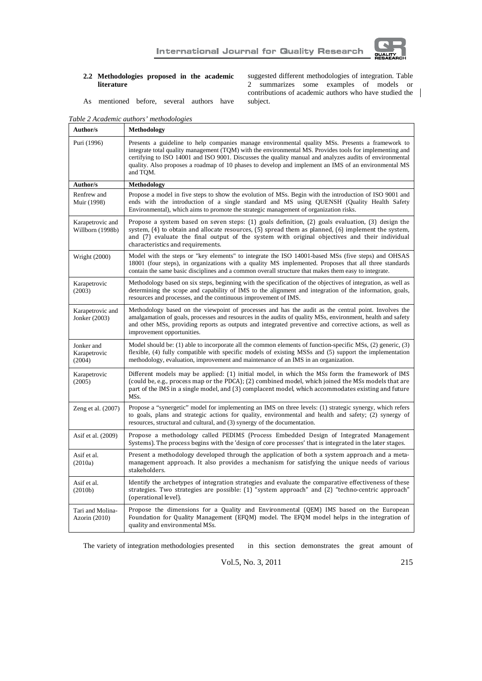

# **2.2 Methodologies proposed in the academic literature**

suggested different methodologies of integration. Table 2 summarizes some examples of models or contributions of academic authors who have studied the subject.

As mentioned before, several authors have

*Table 2 Academic authors' methodologies* 

| Author/s                             | Methodology                                                                                                                                                                                                                                                                                                                                                                                                                                |
|--------------------------------------|--------------------------------------------------------------------------------------------------------------------------------------------------------------------------------------------------------------------------------------------------------------------------------------------------------------------------------------------------------------------------------------------------------------------------------------------|
| Puri (1996)                          | Presents a guideline to help companies manage environmental quality MSs. Presents a framework to<br>integrate total quality management (TQM) with the environmental MS. Provides tools for implementing and<br>certifying to ISO 14001 and ISO 9001. Discusses the quality manual and analyzes audits of environmental<br>quality. Also proposes a roadmap of 10 phases to develop and implement an IMS of an environmental MS<br>and TQM. |
| Author/s                             | Methodology                                                                                                                                                                                                                                                                                                                                                                                                                                |
| Renfrew and<br>Muir (1998)           | Propose a model in five steps to show the evolution of MSs. Begin with the introduction of ISO 9001 and<br>ends with the introduction of a single standard and MS using QUENSH (Quality Health Safety<br>Environmental), which aims to promote the strategic management of organization risks.                                                                                                                                             |
| Karapetrovic and<br>Willborn (1998b) | Propose a system based on seven steps: (1) goals definition, (2) goals evaluation, (3) design the<br>system, $(4)$ to obtain and allocate resources, $(5)$ spread them as planned, $(6)$ implement the system,<br>and (7) evaluate the final output of the system with original objectives and their individual<br>characteristics and requirements.                                                                                       |
| Wright (2000)                        | Model with the steps or "key elements" to integrate the ISO 14001-based MSs (five steps) and OHSAS<br>18001 (four steps), in organizations with a quality MS implemented. Proposes that all three standards<br>contain the same basic disciplines and a common overall structure that makes them easy to integrate.                                                                                                                        |
| Karapetrovic<br>(2003)               | Methodology based on six steps, beginning with the specification of the objectives of integration, as well as<br>determining the scope and capability of IMS to the alignment and integration of the information, goals,<br>resources and processes, and the continuous improvement of IMS.                                                                                                                                                |
| Karapetrovic and<br>Jonker (2003)    | Methodology based on the viewpoint of processes and has the audit as the central point. Involves the<br>amalgamation of goals, processes and resources in the audits of quality MSs, environment, health and safety<br>and other MSs, providing reports as outputs and integrated preventive and corrective actions, as well as<br>improvement opportunities.                                                                              |
| Jonker and<br>Karapetrovic<br>(2004) | Model should be: (1) able to incorporate all the common elements of function-specific MSs, $(2)$ generic, $(3)$<br>flexible, (4) fully compatible with specific models of existing MSSs and (5) support the implementation<br>methodology, evaluation, improvement and maintenance of an IMS in an organization.                                                                                                                           |
| Karapetrovic<br>(2005)               | Different models may be applied: (1) initial model, in which the MSs form the framework of IMS<br>(could be, e.g., process map or the PDCA); (2) combined model, which joined the MSs models that are<br>part of the IMS in a single model, and (3) complacent model, which accommodates existing and future<br>MSs.                                                                                                                       |
| Zeng et al. (2007)                   | Propose a "synergetic" model for implementing an IMS on three levels: (1) strategic synergy, which refers<br>to goals, plans and strategic actions for quality, environmental and health and safety; (2) synergy of<br>resources, structural and cultural, and (3) synergy of the documentation.                                                                                                                                           |
| Asif et al. (2009)                   | Propose a methodology called PEDIMS (Process Embedded Design of Integrated Management<br>Systems). The process begins with the 'design of core processes' that is integrated in the later stages.                                                                                                                                                                                                                                          |
| Asif et al.<br>(2010a)               | Present a methodology developed through the application of both a system approach and a meta-<br>management approach. It also provides a mechanism for satisfying the unique needs of various<br>stakeholders.                                                                                                                                                                                                                             |
| Asif et al.<br>(2010 <sub>b</sub> )  | Identify the archetypes of integration strategies and evaluate the comparative effectiveness of these<br>strategies. Two strategies are possible: (1) "system approach" and (2) "techno-centric approach"<br>(operational level).                                                                                                                                                                                                          |
| Tari and Molina-<br>Azorin (2010)    | Propose the dimensions for a Quality and Environmental (QEM) IMS based on the European<br>Foundation for Quality Management (EFQM) model. The EFQM model helps in the integration of<br>quality and environmental MSs.                                                                                                                                                                                                                     |

The variety of integration methodologies presented in this section demonstrates the great amount of

Vol.5, No. 3, 2011 215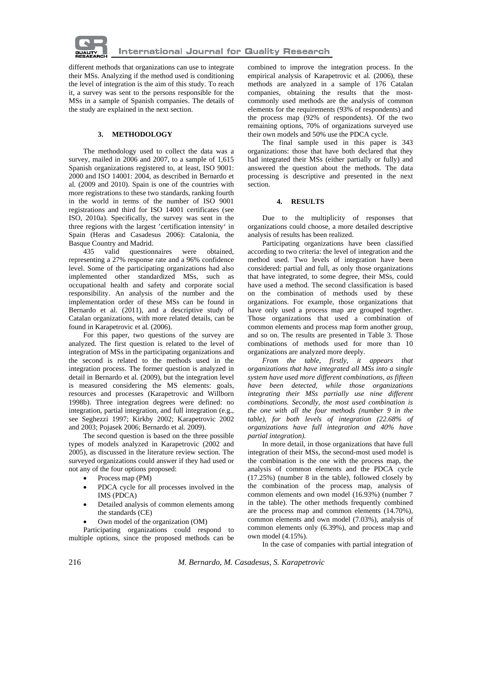

different methods that organizations can use to integrate their MSs. Analyzing if the method used is conditioning the level of integration is the aim of this study. To reach it, a survey was sent to the persons responsible for the MSs in a sample of Spanish companies. The details of the study are explained in the next section.

## **3. METHODOLOGY**

The methodology used to collect the data was a survey, mailed in 2006 and 2007, to a sample of 1,615 Spanish organizations registered to, at least, ISO 9001: 2000 and ISO 14001: 2004, as described in Bernardo et al*.* (2009 and 2010). Spain is one of the countries with more registrations to these two standards, ranking fourth in the world in terms of the number of ISO 9001 registrations and third for ISO 14001 certificates (see ISO, 2010a). Specifically, the survey was sent in the three regions with the largest 'certification intensity' in Spain (Heras and Casadesus 2006): Catalonia, the Basque Country and Madrid.

435 valid questionnaires were obtained, representing a 27% response rate and a 96% confidence level. Some of the participating organizations had also implemented other standardized MSs, such as occupational health and safety and corporate social responsibility. An analysis of the number and the implementation order of these MSs can be found in Bernardo et al. (2011), and a descriptive study of Catalan organizations, with more related details, can be found in Karapetrovic et al*.* (2006).

For this paper, two questions of the survey are analyzed. The first question is related to the level of integration of MSs in the participating organizations and the second is related to the methods used in the integration process. The former question is analyzed in detail in Bernardo et al*.* (2009), but the integration level is measured considering the MS elements: goals, resources and processes (Karapetrovic and Willborn 1998b). Three integration degrees were defined: no integration, partial integration, and full integration (e.g., see Seghezzi 1997; Kirkby 2002; Karapetrovic 2002 and 2003; Pojasek 2006; Bernardo et al*.* 2009).

The second question is based on the three possible types of models analyzed in Karapetrovic (2002 and 2005), as discussed in the literature review section. The surveyed organizations could answer if they had used or not any of the four options proposed:

- Process map (PM)
- PDCA cycle for all processes involved in the IMS (PDCA)
- Detailed analysis of common elements among the standards (CE)
- Own model of the organization (OM)

Participating organizations could respond to multiple options, since the proposed methods can be combined to improve the integration process. In the empirical analysis of Karapetrovic et al*.* (2006), these methods are analyzed in a sample of 176 Catalan companies, obtaining the results that the mostcommonly used methods are the analysis of common elements for the requirements (93% of respondents) and the process map (92% of respondents). Of the two remaining options, 70% of organizations surveyed use their own models and 50% use the PDCA cycle.

The final sample used in this paper is 343 organizations: those that have both declared that they had integrated their MSs (either partially or fully) and answered the question about the methods. The data processing is descriptive and presented in the next section.

### **4. RESULTS**

Due to the multiplicity of responses that organizations could choose, a more detailed descriptive analysis of results has been realized.

Participating organizations have been classified according to two criteria: the level of integration and the method used. Two levels of integration have been considered: partial and full, as only those organizations that have integrated, to some degree, their MSs, could have used a method. The second classification is based on the combination of methods used by these organizations. For example, those organizations that have only used a process map are grouped together. Those organizations that used a combination of common elements and process map form another group, and so on. The results are presented in Table 3. Those combinations of methods used for more than 10 organizations are analyzed more deeply.

 *From the table, firstly, it appears that organizations that have integrated all MSs into a single system have used more different combinations, as fifteen have been detected, while those organizations integrating their MSs partially use nine different combinations. Secondly, the most used combination is the one with all the four methods (number 9 in the table), for both levels of integration (22.68% of organizations have full integration and 40% have partial integration).* 

In more detail, in those organizations that have full integration of their MSs, the second-most used model is the combination is the one with the process map, the analysis of common elements and the PDCA cycle (17.25%) (number 8 in the table), followed closely by the combination of the process map, analysis of common elements and own model (16.93%) (number 7 in the table). The other methods frequently combined are the process map and common elements (14.70%), common elements and own model (7.03%), analysis of common elements only (6.39%), and process map and own model (4.15%).

In the case of companies with partial integration of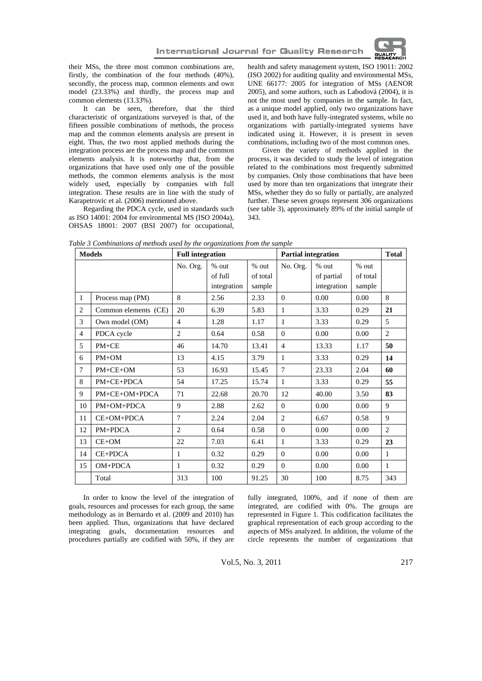

their MSs, the three most common combinations are, firstly, the combination of the four methods (40%), secondly, the process map, common elements and own model (23.33%) and thirdly, the process map and common elements (13.33%).

It can be seen, therefore, that the third characteristic of organizations surveyed is that, of the fifteen possible combinations of methods, the process map and the common elements analysis are present in eight. Thus, the two most applied methods during the integration process are the process map and the common elements analysis. It is noteworthy that, from the organizations that have used only one of the possible methods, the common elements analysis is the most widely used, especially by companies with full integration. These results are in line with the study of Karapetrovic et al*.* (2006) mentioned above.

Regarding the PDCA cycle, used in standards such as ISO 14001: 2004 for environmental MS (ISO 2004a), OHSAS 18001: 2007 (BSI 2007) for occupational, health and safety management system, ISO 19011: 2002 (ISO 2002) for auditing quality and environmental MSs, UNE 66177: 2005 for integration of MSs (AENOR 2005), and some authors, such as Labodová (2004), it is not the most used by companies in the sample. In fact, as a unique model applied, only two organizations have used it, and both have fully-integrated systems, while no organizations with partially-integrated systems have indicated using it. However, it is present in seven combinations, including two of the most common ones.

Given the variety of methods applied in the process, it was decided to study the level of integration related to the combinations most frequently submitted by companies. Only those combinations that have been used by more than ten organizations that integrate their MSs, whether they do so fully or partially, are analyzed further. These seven groups represent 306 organizations (see table 3), approximately 89% of the initial sample of 343.

| <b>Models</b>  |                      | <b>Full integration</b> |                                   |                             | <b>Partial integration</b> |                                    |                               | <b>Total</b>   |
|----------------|----------------------|-------------------------|-----------------------------------|-----------------------------|----------------------------|------------------------------------|-------------------------------|----------------|
|                |                      | No. Org.                | $%$ out<br>of full<br>integration | % out<br>of total<br>sample | No. Org.                   | % out<br>of partial<br>integration | $%$ out<br>of total<br>sample |                |
| $\mathbf{1}$   | Process map (PM)     | 8                       | 2.56                              | 2.33                        | $\Omega$                   | 0.00                               | 0.00                          | 8              |
| $\overline{c}$ | Common elements (CE) | 20                      | 6.39                              | 5.83                        | 1                          | 3.33                               | 0.29                          | 21             |
| 3              | Own model (OM)       | 4                       | 1.28                              | 1.17                        | 1                          | 3.33                               | 0.29                          | 5              |
| $\overline{4}$ | PDCA cycle           | $\overline{c}$          | 0.64                              | 0.58                        | $\theta$                   | 0.00                               | 0.00                          | $\overline{2}$ |
| 5              | $PM + CE$            | 46                      | 14.70                             | 13.41                       | $\overline{4}$             | 13.33                              | 1.17                          | 50             |
| 6              | $PM+OM$              | 13                      | 4.15                              | 3.79                        | 1                          | 3.33                               | 0.29                          | 14             |
| $\tau$         | $PM + CE + OM$       | 53                      | 16.93                             | 15.45                       | $\overline{7}$             | 23.33                              | 2.04                          | 60             |
| 8              | $PM + CE + PDCA$     | 54                      | 17.25                             | 15.74                       | $\mathbf{1}$               | 3.33                               | 0.29                          | 55             |
| 9              | PM+CE+OM+PDCA        | 71                      | 22.68                             | 20.70                       | 12                         | 40.00                              | 3.50                          | 83             |
| 10             | PM+OM+PDCA           | 9                       | 2.88                              | 2.62                        | $\Omega$                   | 0.00                               | 0.00                          | 9              |
| 11             | CE+OM+PDCA           | $\overline{7}$          | 2.24                              | 2.04                        | 2                          | 6.67                               | 0.58                          | 9              |
| 12             | PM+PDCA              | $\overline{2}$          | 0.64                              | 0.58                        | $\theta$                   | 0.00                               | 0.00                          | $\overline{2}$ |
| 13             | $CE+OM$              | 22                      | 7.03                              | 6.41                        | 1                          | 3.33                               | 0.29                          | 23             |
| 14             | CE+PDCA              | 1                       | 0.32                              | 0.29                        | $\theta$                   | 0.00                               | 0.00                          | 1              |
| 15             | OM+PDCA              | 1                       | 0.32                              | 0.29                        | $\Omega$                   | 0.00                               | 0.00                          | $\mathbf{1}$   |
|                | Total                | 313                     | 100                               | 91.25                       | 30                         | 100                                | 8.75                          | 343            |

*Table 3 Combinations of methods used by the organizations from the sample* 

 In order to know the level of the integration of goals, resources and processes for each group, the same methodology as in Bernardo et al. (2009 and 2010) has been applied. Thus, organizations that have declared integrating goals, documentation resources and procedures partially are codified with 50%, if they are fully integrated, 100%, and if none of them are integrated, are codified with 0%. The groups are represented in Figure 1. This codification facilitates the graphical representation of each group according to the aspects of MSs analyzed. In addition, the volume of the circle represents the number of organizations that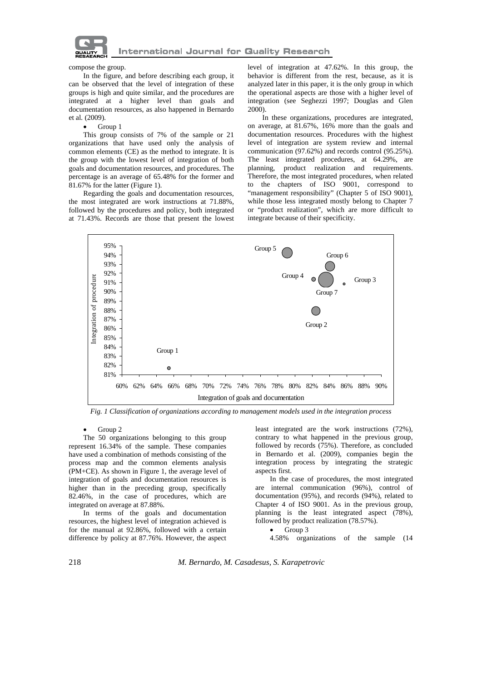

#### compose the group.

In the figure, and before describing each group, it can be observed that the level of integration of these groups is high and quite similar, and the procedures are integrated at a higher level than goals and documentation resources, as also happened in Bernardo et al*.* (2009).

#### Group 1

This group consists of 7% of the sample or 21 organizations that have used only the analysis of common elements (CE) as the method to integrate. It is the group with the lowest level of integration of both goals and documentation resources, and procedures. The percentage is an average of 65.48% for the former and 81.67% for the latter (Figure 1).

Regarding the goals and documentation resources, the most integrated are work instructions at 71.88%, followed by the procedures and policy, both integrated at 71.43%. Records are those that present the lowest

level of integration at 47.62%. In this group, the behavior is different from the rest, because, as it is analyzed later in this paper, it is the only group in which the operational aspects are those with a higher level of integration (see Seghezzi 1997; Douglas and Glen 2000).

 In these organizations, procedures are integrated, on average, at 81.67%, 16% more than the goals and documentation resources. Procedures with the highest level of integration are system review and internal communication (97.62%) and records control (95.25%). The least integrated procedures, at 64.29%, are planning, product realization and requirements. Therefore, the most integrated procedures, when related to the chapters of ISO 9001, correspond to "management responsibility" (Chapter 5 of ISO 9001), while those less integrated mostly belong to Chapter 7 or "product realization", which are more difficult to integrate because of their specificity.



*Fig. 1 Classification of organizations according to management models used in the integration process* 

### Group 2

The 50 organizations belonging to this group represent 16.34% of the sample. These companies have used a combination of methods consisting of the process map and the common elements analysis (PM+CE). As shown in Figure 1, the average level of integration of goals and documentation resources is higher than in the preceding group, specifically 82.46%, in the case of procedures, which are integrated on average at 87.88%.

 In terms of the goals and documentation resources, the highest level of integration achieved is for the manual at 92.86%, followed with a certain difference by policy at 87.76%. However, the aspect least integrated are the work instructions (72%), contrary to what happened in the previous group, followed by records (75%). Therefore, as concluded in Bernardo et al. (2009), companies begin the integration process by integrating the strategic aspects first.

 In the case of procedures, the most integrated are internal communication (96%), control of documentation (95%), and records (94%), related to Chapter 4 of ISO 9001. As in the previous group, planning is the least integrated aspect (78%), followed by product realization (78.57%).

Group 3

4.58% organizations of the sample (14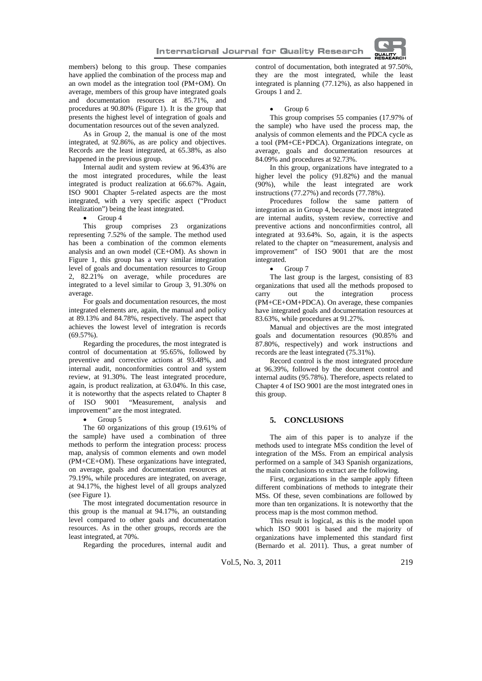members) belong to this group. These companies have applied the combination of the process map and an own model as the integration tool (PM+OM). On average, members of this group have integrated goals and documentation resources at 85.71%, and procedures at 90.80% (Figure 1). It is the group that presents the highest level of integration of goals and documentation resources out of the seven analyzed.

As in Group 2, the manual is one of the most integrated, at 92.86%, as are policy and objectives. Records are the least integrated, at 65.38%, as also happened in the previous group.

 Internal audit and system review at 96.43% are the most integrated procedures, while the least integrated is product realization at 66.67%. Again, ISO 9001 Chapter 5-related aspects are the most integrated, with a very specific aspect ("Product Realization") being the least integrated.

Group 4

This group comprises 23 organizations representing 7.52% of the sample. The method used has been a combination of the common elements analysis and an own model (CE+OM). As shown in Figure 1, this group has a very similar integration level of goals and documentation resources to Group 2, 82.21% on average, while procedures are integrated to a level similar to Group 3, 91.30% on average.

 For goals and documentation resources, the most integrated elements are, again, the manual and policy at 89.13% and 84.78%, respectively. The aspect that achieves the lowest level of integration is records  $(69.57\%)$ .

 Regarding the procedures, the most integrated is control of documentation at 95.65%, followed by preventive and corrective actions at 93.48%, and internal audit, nonconformities control and system review, at 91.30%. The least integrated procedure, again, is product realization, at 63.04%. In this case, it is noteworthy that the aspects related to Chapter 8 of ISO 9001 "Measurement, analysis and improvement" are the most integrated.

Group 5

The 60 organizations of this group (19.61% of the sample) have used a combination of three methods to perform the integration process: process map, analysis of common elements and own model (PM+CE+OM). These organizations have integrated, on average, goals and documentation resources at 79.19%, while procedures are integrated, on average, at 94.17%, the highest level of all groups analyzed (see Figure 1).

 The most integrated documentation resource in this group is the manual at 94.17%, an outstanding level compared to other goals and documentation resources. As in the other groups, records are the least integrated, at 70%.

Regarding the procedures, internal audit and

control of documentation, both integrated at 97.50%, they are the most integrated, while the least integrated is planning (77.12%), as also happened in Groups 1 and 2.

#### Group 6

This group comprises 55 companies (17.97% of the sample) who have used the process map, the analysis of common elements and the PDCA cycle as a tool (PM+CE+PDCA). Organizations integrate, on average, goals and documentation resources at 84.09% and procedures at 92.73%.

 In this group, organizations have integrated to a higher level the policy (91.82%) and the manual (90%), while the least integrated are work instructions (77.27%) and records (77.78%).

 Procedures follow the same pattern of integration as in Group 4, because the most integrated are internal audits, system review, corrective and preventive actions and nonconfirmities control, all integrated at 93.64%. So, again, it is the aspects related to the chapter on "measurement, analysis and improvement" of ISO 9001 that are the most integrated.

Group 7

The last group is the largest, consisting of 83 organizations that used all the methods proposed to carry out the integration process (PM+CE+OM+PDCA). On average, these companies have integrated goals and documentation resources at 83.63%, while procedures at 91.27%.

 Manual and objectives are the most integrated goals and documentation resources (90.85% and 87.80%, respectively) and work instructions and records are the least integrated (75.31%).

 Record control is the most integrated procedure at 96.39%, followed by the document control and internal audits (95.78%). Therefore, aspects related to Chapter 4 of ISO 9001 are the most integrated ones in this group.

# **5. CONCLUSIONS**

The aim of this paper is to analyze if the methods used to integrate MSs condition the level of integration of the MSs. From an empirical analysis performed on a sample of 343 Spanish organizations, the main conclusions to extract are the following.

First, organizations in the sample apply fifteen different combinations of methods to integrate their MSs. Of these, seven combinations are followed by more than ten organizations. It is noteworthy that the process map is the most common method.

This result is logical, as this is the model upon which ISO 9001 is based and the majority of organizations have implemented this standard first (Bernardo et al. 2011). Thus, a great number of

Vol.5, No. 3, 2011 219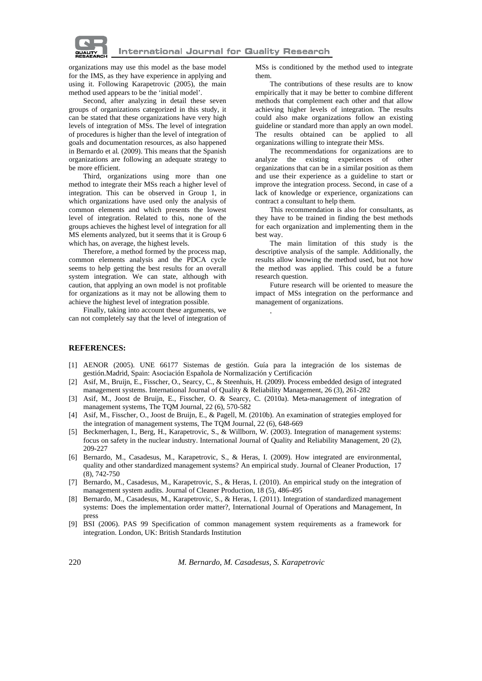

organizations may use this model as the base model for the IMS, as they have experience in applying and using it. Following Karapetrovic (2005), the main method used appears to be the 'initial model'.

Second, after analyzing in detail these seven groups of organizations categorized in this study, it can be stated that these organizations have very high levels of integration of MSs. The level of integration of procedures is higher than the level of integration of goals and documentation resources, as also happened in Bernardo et al*.* (2009). This means that the Spanish organizations are following an adequate strategy to be more efficient.

 Third, organizations using more than one method to integrate their MSs reach a higher level of integration. This can be observed in Group 1, in which organizations have used only the analysis of common elements and which presents the lowest level of integration. Related to this, none of the groups achieves the highest level of integration for all MS elements analyzed, but it seems that it is Group 6 which has, on average, the highest levels.

 Therefore, a method formed by the process map, common elements analysis and the PDCA cycle seems to help getting the best results for an overall system integration. We can state, although with caution, that applying an own model is not profitable for organizations as it may not be allowing them to achieve the highest level of integration possible.

 Finally, taking into account these arguments, we can not completely say that the level of integration of MSs is conditioned by the method used to integrate them.

 The contributions of these results are to know empirically that it may be better to combine different methods that complement each other and that allow achieving higher levels of integration. The results could also make organizations follow an existing guideline or standard more than apply an own model. The results obtained can be applied to all organizations willing to integrate their MSs.

 The recommendations for organizations are to analyze the existing experiences of other organizations that can be in a similar position as them and use their experience as a guideline to start or improve the integration process. Second, in case of a lack of knowledge or experience, organizations can contract a consultant to help them.

 This recommendation is also for consultants, as they have to be trained in finding the best methods for each organization and implementing them in the best way.

 The main limitation of this study is the descriptive analysis of the sample. Additionally, the results allow knowing the method used, but not how the method was applied. This could be a future research question.

Future research will be oriented to measure the impact of MSs integration on the performance and management of organizations.

# **REFERENCES:**

[1] AENOR (2005). UNE 66177 Sistemas de gestión. Guía para la integración de los sistemas de gestión.Madrid, Spain: Asociación Española de Normalización y Certificación

.

- [2] Asif, M., Bruijn, E., Fisscher, O., Searcy, C., & Steenhuis, H. (2009). Process embedded design of integrated management systems. International Journal of Quality & Reliability Management, 26 (3), 261-282
- [3] Asif, M., Joost de Bruijn, E., Fisscher, O. & Searcy, C. (2010a). Meta-management of integration of management systems, The TQM Journal, 22 (6), 570-582
- [4] Asif, M., Fisscher, O., Joost de Bruijn, E., & Pagell, M. (2010b). An examination of strategies employed for the integration of management systems, The TQM Journal, 22 (6), 648-669
- [5] Beckmerhagen, I., Berg, H., Karapetrovic, S., & Willborn, W. (2003). Integration of management systems: focus on safety in the nuclear industry. International Journal of Quality and Reliability Management, 20 (2), 209-227
- [6] Bernardo, M., Casadesus, M., Karapetrovic, S., & Heras, I. (2009). How integrated are environmental, quality and other standardized management systems? An empirical study. Journal of Cleaner Production, 17 (8), 742-750
- [7] Bernardo, M., Casadesus, M., Karapetrovic, S., & Heras, I. (2010). An empirical study on the integration of management system audits. Journal of Cleaner Production, 18 (5), 486-495
- [8] Bernardo, M., Casadesus, M., Karapetrovic, S., & Heras, I. (2011). Integration of standardized management systems: Does the implementation order matter?, International Journal of Operations and Management, In press
- [9] BSI (2006). PAS 99 Specification of common management system requirements as a framework for integration. London, UK: British Standards Institution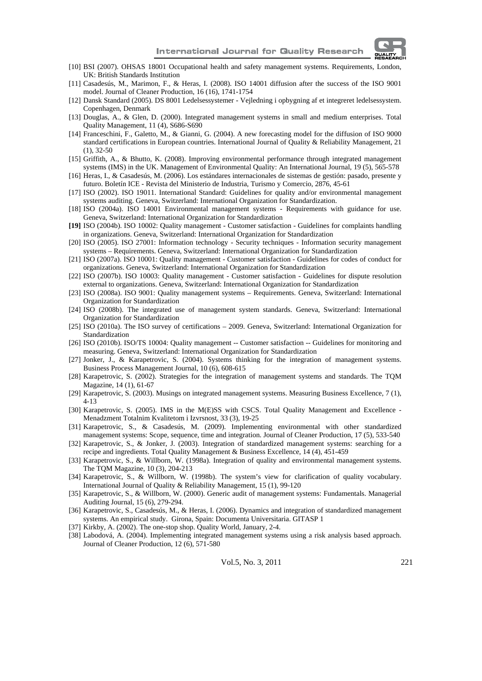

- [10] BSI (2007). OHSAS 18001 Occupational health and safety management systems. Requirements, London, UK: British Standards Institution
- [11] Casadesús, M., Marimon, F., & Heras, I. (2008). ISO 14001 diffusion after the success of the ISO 9001 model. Journal of Cleaner Production, 16 (16), 1741-1754
- [12] Dansk Standard (2005). DS 8001 Ledelsessystemer Vejledning i opbygning af et integreret ledelsessystem. Copenhagen, Denmark
- [13] Douglas, A., & Glen, D. (2000). Integrated management systems in small and medium enterprises. Total Quality Management, 11 (4), S686-S690
- [14] Franceschini, F., Galetto, M., & Gianni, G. (2004). A new forecasting model for the diffusion of ISO 9000 standard certifications in European countries. International Journal of Quality & Reliability Management, 21 (1), 32-50
- [15] Griffith, A., & Bhutto, K. (2008). Improving environmental performance through integrated management systems (IMS) in the UK. Management of Environmental Quality: An International Journal, 19 (5), 565-578
- [16] Heras, I., & Casadesús, M. (2006). Los estándares internacionales de sistemas de gestión: pasado, presente y futuro. Boletín ICE - Revista del Ministerio de Industria, Turismo y Comercio, 2876, 45-61
- [17] ISO (2002). ISO 19011. International Standard: Guidelines for quality and/or environmental management systems auditing. Geneva, Switzerland: International Organization for Standardization.
- [18] ISO (2004a). ISO 14001 Environmental management systems Requirements with guidance for use. Geneva, Switzerland: International Organization for Standardization
- **[19]** ISO (2004b). ISO 10002: Quality management Customer satisfaction Guidelines for complaints handling in organizations. Geneva, Switzerland: International Organization for Standardization
- [20] ISO (2005). ISO 27001: Information technology Security techniques Information security management systems – Requirements. Geneva, Switzerland: International Organization for Standardization
- [21] ISO (2007a). ISO 10001: Quality management Customer satisfaction Guidelines for codes of conduct for organizations. Geneva, Switzerland: International Organization for Standardization
- [22] ISO (2007b). ISO 10003: Quality management Customer satisfaction Guidelines for dispute resolution external to organizations. Geneva, Switzerland: International Organization for Standardization
- [23] ISO (2008a). ISO 9001: Quality management systems Requirements. Geneva, Switzerland: International Organization for Standardization
- [24] ISO (2008b). The integrated use of management system standards. Geneva, Switzerland: International Organization for Standardization
- [25] ISO (2010a). The ISO survey of certifications 2009. Geneva, Switzerland: International Organization for Standardization
- [26] ISO (2010b). ISO/TS 10004: Quality management -- Customer satisfaction -- Guidelines for monitoring and measuring. Geneva, Switzerland: International Organization for Standardization
- [27] Jonker, J., & Karapetrovic, S. (2004). Systems thinking for the integration of management systems. Business Process Management Journal, 10 (6), 608-615
- [28] Karapetrovic, S. (2002). Strategies for the integration of management systems and standards. The TQM Magazine, 14 (1), 61-67
- [29] Karapetrovic, S. (2003). Musings on integrated management systems. Measuring Business Excellence, 7 (1), 4-13
- [30] Karapetrovic, S. (2005). IMS in the M(E)SS with CSCS. Total Quality Management and Excellence -Menadzment Totalnim Kvalitetom i Izvrsnost, 33 (3), 19-25
- [31] Karapetrovic, S., & Casadesús, M. (2009). Implementing environmental with other standardized management systems: Scope, sequence, time and integration. Journal of Cleaner Production, 17 (5), 533-540
- [32] Karapetrovic, S., & Jonker, J. (2003). Integration of standardized management systems: searching for a recipe and ingredients. Total Quality Management & Business Excellence, 14 (4), 451-459
- [33] Karapetrovic, S., & Willborn, W. (1998a). Integration of quality and environmental management systems. The TQM Magazine, 10 (3), 204-213
- [34] Karapetrovic, S., & Willborn, W. (1998b). The system's view for clarification of quality vocabulary. International Journal of Quality & Reliability Management, 15 (1), 99-120
- [35] Karapetrovic, S., & Willborn, W. (2000). Generic audit of management systems: Fundamentals. Managerial Auditing Journal, 15 (6), 279-294.
- [36] Karapetrovic, S., Casadesús, M., & Heras, I. (2006). Dynamics and integration of standardized management systems. An empirical study. Girona, Spain: Documenta Universitaria. GITASP 1
- [37] Kirkby, A. (2002). The one-stop shop. Quality World, January, 2-4.
- [38] Labodová, A. (2004). Implementing integrated management systems using a risk analysis based approach. Journal of Cleaner Production, 12 (6), 571-580

Vol.5, No. 3, 2011 221